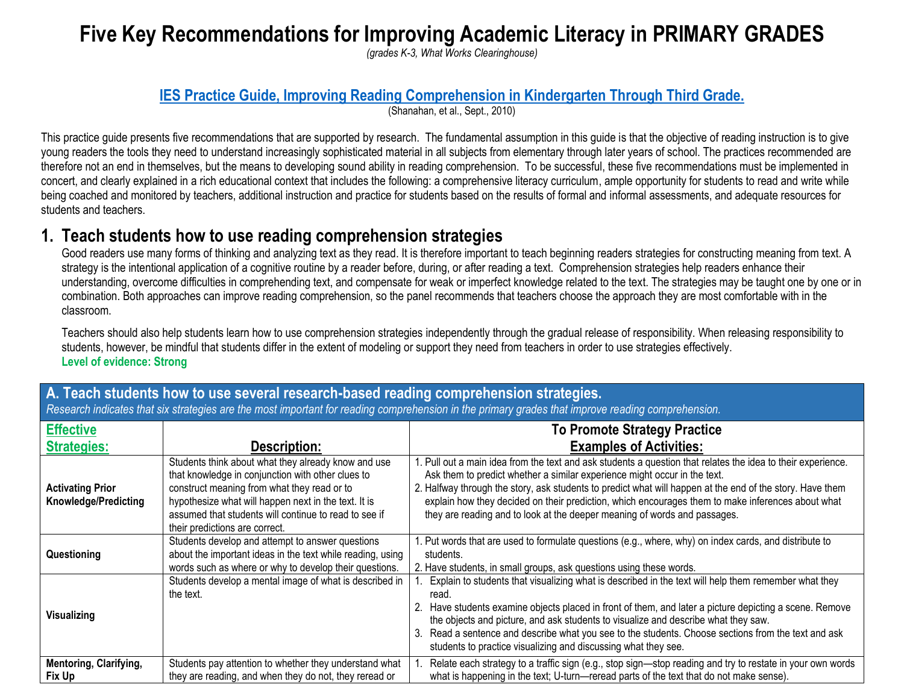# **Five Key Recommendations for Improving Academic Literacy in PRIMARY GRADES**

*(grades K-3, What Works Clearinghouse)*

### **[IES Practice Guide, Improving Reading Comprehension in Kindergarten Through Third Grade.](http://ies.ed.gov/ncee/WWC/pdf/practice_guides/readingcomp_pg_092810.pdf)**

(Shanahan, et al., Sept., 2010)

This practice guide presents five recommendations that are supported by research. The fundamental assumption in this guide is that the objective of reading instruction is to give young readers the tools they need to understand increasingly sophisticated material in all subjects from elementary through later years of school. The practices recommended are therefore not an end in themselves, but the means to developing sound ability in reading comprehension. To be successful, these five recommendations must be implemented in concert, and clearly explained in a rich educational context that includes the following: a comprehensive literacy curriculum, ample opportunity for students to read and write while being coached and monitored by teachers, additional instruction and practice for students based on the results of formal and informal assessments, and adequate resources for students and teachers.

## **1. Teach students how to use reading comprehension strategies**

Good readers use many forms of thinking and analyzing text as they read. It is therefore important to teach beginning readers strategies for constructing meaning from text. A strategy is the intentional application of a cognitive routine by a reader before, during, or after reading a text. Comprehension strategies help readers enhance their understanding, overcome difficulties in comprehending text, and compensate for weak or imperfect knowledge related to the text. The strategies may be taught one by one or in combination. Both approaches can improve reading comprehension, so the panel recommends that teachers choose the approach they are most comfortable with in the classroom.

Teachers should also help students learn how to use comprehension strategies independently through the gradual release of responsibility. When releasing responsibility to students, however, be mindful that students differ in the extent of modeling or support they need from teachers in order to use strategies effectively. **Level of evidence: Strong**

| <b>Effective</b>                                       |                                                                                                                                                                                                                                                                                                            | <b>To Promote Strategy Practice</b>                                                                                                                                                                                                                                                                                                                                                                                                                                                      |
|--------------------------------------------------------|------------------------------------------------------------------------------------------------------------------------------------------------------------------------------------------------------------------------------------------------------------------------------------------------------------|------------------------------------------------------------------------------------------------------------------------------------------------------------------------------------------------------------------------------------------------------------------------------------------------------------------------------------------------------------------------------------------------------------------------------------------------------------------------------------------|
| <b>Strategies:</b>                                     | <b>Description:</b>                                                                                                                                                                                                                                                                                        | <b>Examples of Activities:</b>                                                                                                                                                                                                                                                                                                                                                                                                                                                           |
| <b>Activating Prior</b><br><b>Knowledge/Predicting</b> | Students think about what they already know and use<br>that knowledge in conjunction with other clues to<br>construct meaning from what they read or to<br>hypothesize what will happen next in the text. It is<br>assumed that students will continue to read to see if<br>their predictions are correct. | 1. Pull out a main idea from the text and ask students a question that relates the idea to their experience.<br>Ask them to predict whether a similar experience might occur in the text.<br>2. Halfway through the story, ask students to predict what will happen at the end of the story. Have them<br>explain how they decided on their prediction, which encourages them to make inferences about what<br>they are reading and to look at the deeper meaning of words and passages. |
| Questioning                                            | Students develop and attempt to answer questions<br>about the important ideas in the text while reading, using<br>words such as where or why to develop their questions.                                                                                                                                   | 1. Put words that are used to formulate questions (e.g., where, why) on index cards, and distribute to<br>students.<br>2. Have students, in small groups, ask questions using these words.                                                                                                                                                                                                                                                                                               |
| <b>Visualizing</b>                                     | Students develop a mental image of what is described in<br>the text.                                                                                                                                                                                                                                       | Explain to students that visualizing what is described in the text will help them remember what they<br>read.<br>Have students examine objects placed in front of them, and later a picture depicting a scene. Remove<br>the objects and picture, and ask students to visualize and describe what they saw.<br>Read a sentence and describe what you see to the students. Choose sections from the text and ask<br>3.<br>students to practice visualizing and discussing what they see.  |
| <b>Mentoring, Clarifying,</b><br>Fix Up                | Students pay attention to whether they understand what<br>they are reading, and when they do not, they reread or                                                                                                                                                                                           | Relate each strategy to a traffic sign (e.g., stop sign—stop reading and try to restate in your own words<br>what is happening in the text; U-turn—reread parts of the text that do not make sense).                                                                                                                                                                                                                                                                                     |

## **A. Teach students how to use several research-based reading comprehension strategies.** *Research indicates that six strategies are the most important for reading comprehension in the primary grades that improve reading comprehension.*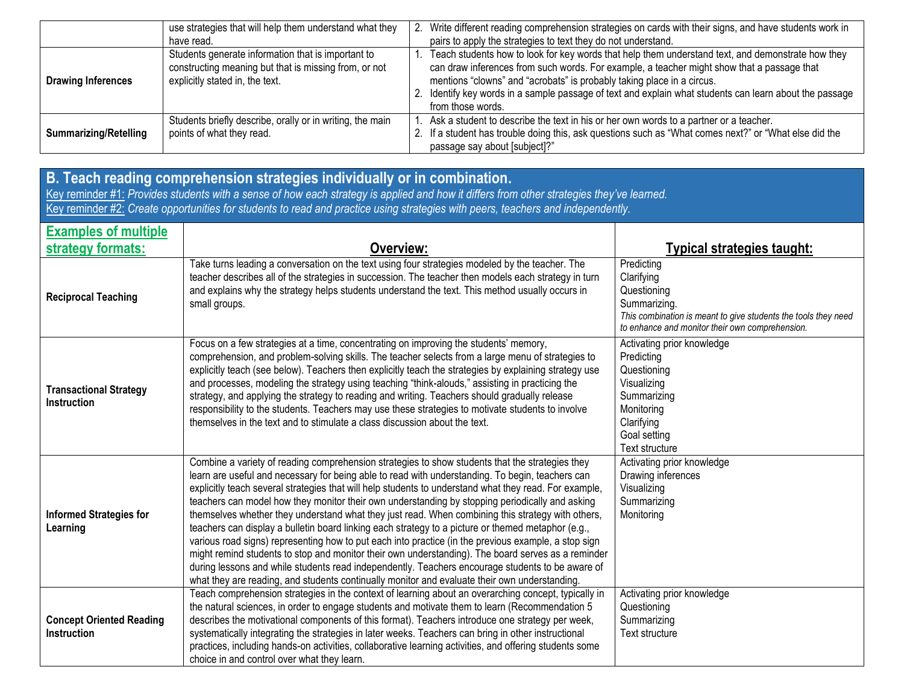|                              | use strategies that will help them understand what they                                                                                        | 2. | Write different reading comprehension strategies on cards with their signs, and have students work in                                                                                                                                                                                                                                                                                                     |
|------------------------------|------------------------------------------------------------------------------------------------------------------------------------------------|----|-----------------------------------------------------------------------------------------------------------------------------------------------------------------------------------------------------------------------------------------------------------------------------------------------------------------------------------------------------------------------------------------------------------|
|                              | have read.                                                                                                                                     |    | pairs to apply the strategies to text they do not understand.                                                                                                                                                                                                                                                                                                                                             |
| <b>Drawing Inferences</b>    | Students generate information that is important to<br>constructing meaning but that is missing from, or not<br>explicitly stated in, the text. |    | Teach students how to look for key words that help them understand text, and demonstrate how they<br>can draw inferences from such words. For example, a teacher might show that a passage that<br>mentions "clowns" and "acrobats" is probably taking place in a circus.<br>2. Identify key words in a sample passage of text and explain what students can learn about the passage<br>from those words. |
| <b>Summarizing/Retelling</b> | Students briefly describe, orally or in writing, the main<br>points of what they read.                                                         |    | Ask a student to describe the text in his or her own words to a partner or a teacher.<br>If a student has trouble doing this, ask questions such as "What comes next?" or "What else did the<br>passage say about [subject]?"                                                                                                                                                                             |

|                                              | B. Teach reading comprehension strategies individually or in combination.<br>Key reminder #1: Provides students with a sense of how each strategy is applied and how it differs from other strategies they've learned.<br>Key reminder #2: Create opportunities for students to read and practice using strategies with peers, teachers and independently.                                                                                                                                                                                                                                                                                                                                                                                                                                                                                                                                                                                                                                                                                     |                                                                                                                                                                              |
|----------------------------------------------|------------------------------------------------------------------------------------------------------------------------------------------------------------------------------------------------------------------------------------------------------------------------------------------------------------------------------------------------------------------------------------------------------------------------------------------------------------------------------------------------------------------------------------------------------------------------------------------------------------------------------------------------------------------------------------------------------------------------------------------------------------------------------------------------------------------------------------------------------------------------------------------------------------------------------------------------------------------------------------------------------------------------------------------------|------------------------------------------------------------------------------------------------------------------------------------------------------------------------------|
| <b>Examples of multiple</b>                  |                                                                                                                                                                                                                                                                                                                                                                                                                                                                                                                                                                                                                                                                                                                                                                                                                                                                                                                                                                                                                                                |                                                                                                                                                                              |
| strategy formats:                            | Overview:                                                                                                                                                                                                                                                                                                                                                                                                                                                                                                                                                                                                                                                                                                                                                                                                                                                                                                                                                                                                                                      | Typical strategies taught:                                                                                                                                                   |
| <b>Reciprocal Teaching</b>                   | Take turns leading a conversation on the text using four strategies modeled by the teacher. The<br>teacher describes all of the strategies in succession. The teacher then models each strategy in turn<br>and explains why the strategy helps students understand the text. This method usually occurs in<br>small groups.                                                                                                                                                                                                                                                                                                                                                                                                                                                                                                                                                                                                                                                                                                                    | Predicting<br>Clarifying<br>Questioning<br>Summarizing.<br>This combination is meant to give students the tools they need<br>to enhance and monitor their own comprehension. |
| <b>Transactional Strategy</b><br>Instruction | Focus on a few strategies at a time, concentrating on improving the students' memory,<br>comprehension, and problem-solving skills. The teacher selects from a large menu of strategies to<br>explicitly teach (see below). Teachers then explicitly teach the strategies by explaining strategy use<br>and processes, modeling the strategy using teaching "think-alouds," assisting in practicing the<br>strategy, and applying the strategy to reading and writing. Teachers should gradually release<br>responsibility to the students. Teachers may use these strategies to motivate students to involve<br>themselves in the text and to stimulate a class discussion about the text.                                                                                                                                                                                                                                                                                                                                                    | Activating prior knowledge<br>Predicting<br>Questioning<br>Visualizing<br>Summarizing<br>Monitoring<br>Clarifying<br>Goal setting<br><b>Text structure</b>                   |
| <b>Informed Strategies for</b><br>Learning   | Combine a variety of reading comprehension strategies to show students that the strategies they<br>learn are useful and necessary for being able to read with understanding. To begin, teachers can<br>explicitly teach several strategies that will help students to understand what they read. For example,<br>teachers can model how they monitor their own understanding by stopping periodically and asking<br>themselves whether they understand what they just read. When combining this strategy with others,<br>teachers can display a bulletin board linking each strategy to a picture or themed metaphor (e.g.,<br>various road signs) representing how to put each into practice (in the previous example, a stop sign<br>might remind students to stop and monitor their own understanding). The board serves as a reminder<br>during lessons and while students read independently. Teachers encourage students to be aware of<br>what they are reading, and students continually monitor and evaluate their own understanding. | Activating prior knowledge<br>Drawing inferences<br>Visualizing<br>Summarizing<br>Monitoring                                                                                 |
| <b>Concept Oriented Reading</b>              | Teach comprehension strategies in the context of learning about an overarching concept, typically in<br>the natural sciences, in order to engage students and motivate them to learn (Recommendation 5<br>describes the motivational components of this format). Teachers introduce one strategy per week,                                                                                                                                                                                                                                                                                                                                                                                                                                                                                                                                                                                                                                                                                                                                     | Activating prior knowledge<br>Questioning<br>Summarizing                                                                                                                     |

Text structure

systematically integrating the strategies in later weeks. Teachers can bring in other instructional practices, including hands-on activities, collaborative learning activities, and offering students some

choice in and control over what they learn.

**Instruction**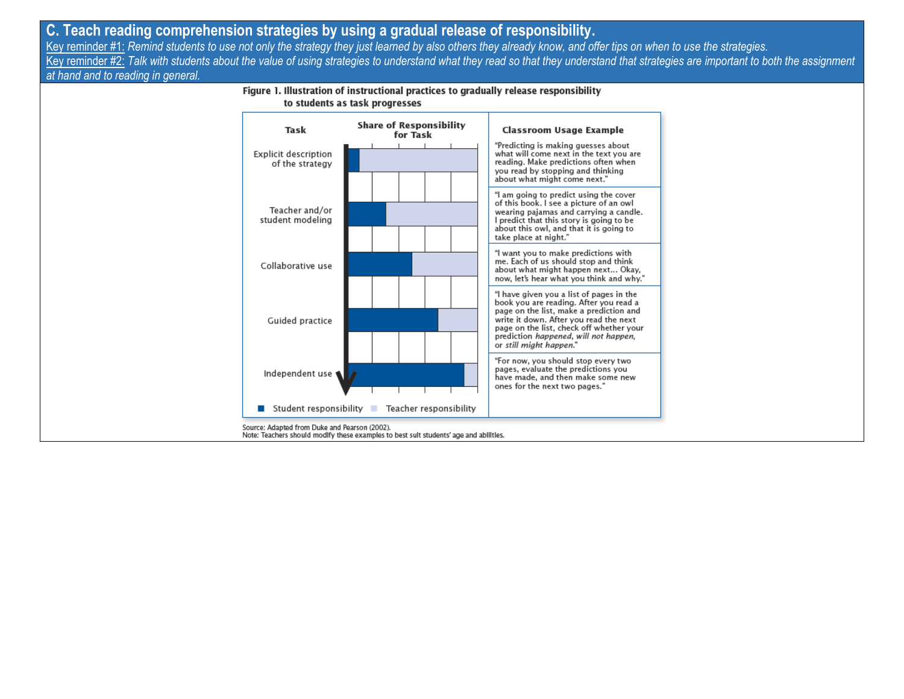### **C. Teach reading comprehension strategies by using a gradual release of responsibility.**

Key reminder #1: *Remind students to use not only the strategy they just learned by also others they already know, and offer tips on when to use the strategies.* Key reminder #2: *Talk with students about the value of using strategies to understand what they read so that they understand that strategies are important to both the assignment at hand and to reading in general.*

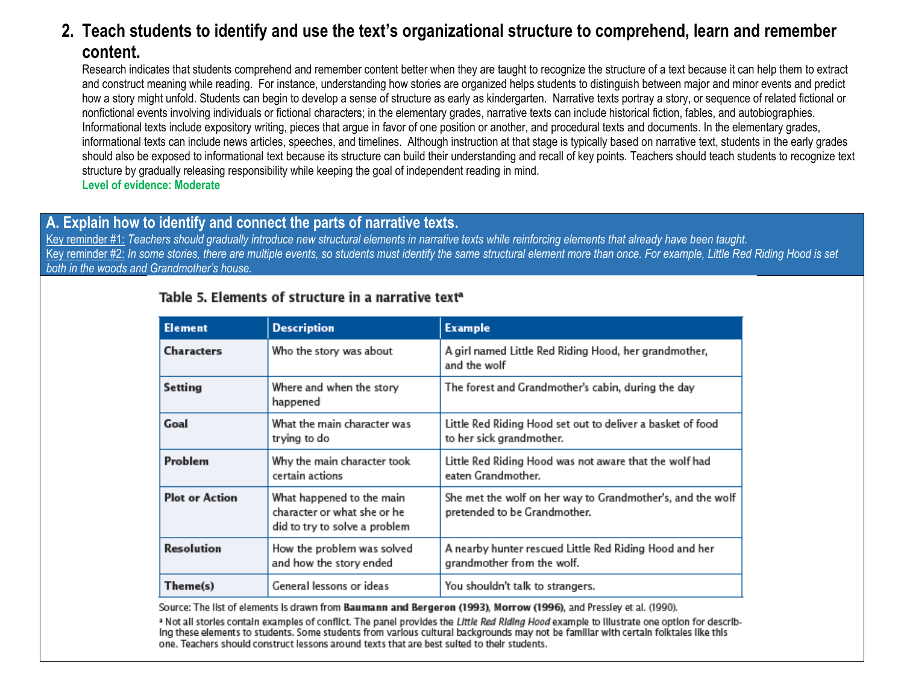# **2. Teach students to identify and use the text's organizational structure to comprehend, learn and remember content.**

Research indicates that students comprehend and remember content better when they are taught to recognize the structure of a text because it can help them to extract and construct meaning while reading. For instance, understanding how stories are organized helps students to distinguish between major and minor events and predict how a story might unfold. Students can begin to develop a sense of structure as early as kindergarten. Narrative texts portray a story, or sequence of related fictional or nonfictional events involving individuals or fictional characters; in the elementary grades, narrative texts can include historical fiction, fables, and autobiographies. Informational texts include expository writing, pieces that argue in favor of one position or another, and procedural texts and documents. In the elementary grades, informational texts can include news articles, speeches, and timelines. Although instruction at that stage is typically based on narrative text, students in the early grades should also be exposed to informational text because its structure can build their understanding and recall of key points. Teachers should teach students to recognize text structure by gradually releasing responsibility while keeping the goal of independent reading in mind. **Level of evidence: Moderate**

### **A. Explain how to identify and connect the parts of narrative texts.**

Key reminder #1: *Teachers should gradually introduce new structural elements in narrative texts while reinforcing elements that already have been taught.* Key reminder #2: *In some stories, there are multiple events, so students must identify the same structural element more than once. For example, Little Red Riding Hood is set both in the woods and Grandmother's house.*

### Table 5. Elements of structure in a narrative text<sup>a</sup>

| Element               | <b>Description</b>                                                                        | <b>Example</b>                                                                             |
|-----------------------|-------------------------------------------------------------------------------------------|--------------------------------------------------------------------------------------------|
| <b>Characters</b>     | Who the story was about                                                                   | A girl named Little Red Riding Hood, her grandmother,<br>and the wolf                      |
| Setting               | Where and when the story<br>happened                                                      | The forest and Grandmother's cabin, during the day                                         |
| Goal                  | What the main character was<br>trying to do                                               | Little Red Riding Hood set out to deliver a basket of food<br>to her sick grandmother.     |
| Problem               | Why the main character took<br>certain actions                                            | Little Red Riding Hood was not aware that the wolf had<br>eaten Grandmother.               |
| <b>Plot or Action</b> | What happened to the main<br>character or what she or he<br>did to try to solve a problem | She met the wolf on her way to Grandmother's, and the wolf<br>pretended to be Grandmother. |
| Resolution            | How the problem was solved<br>and how the story ended                                     | A nearby hunter rescued Little Red Riding Hood and her<br>grandmother from the wolf.       |
| Theme(s)              | General lessons or ideas                                                                  | You shouldn't talk to strangers.                                                           |

Source: The list of elements is drawn from Baumann and Bergeron (1993), Morrow (1996), and Pressley et al. (1990).

a Not all stories contain examples of conflict. The panel provides the Little Red Riding Hood example to illustrate one option for describing these elements to students. Some students from various cultural backgrounds may not be familiar with certain folktales like this one. Teachers should construct lessons around texts that are best sulted to their students.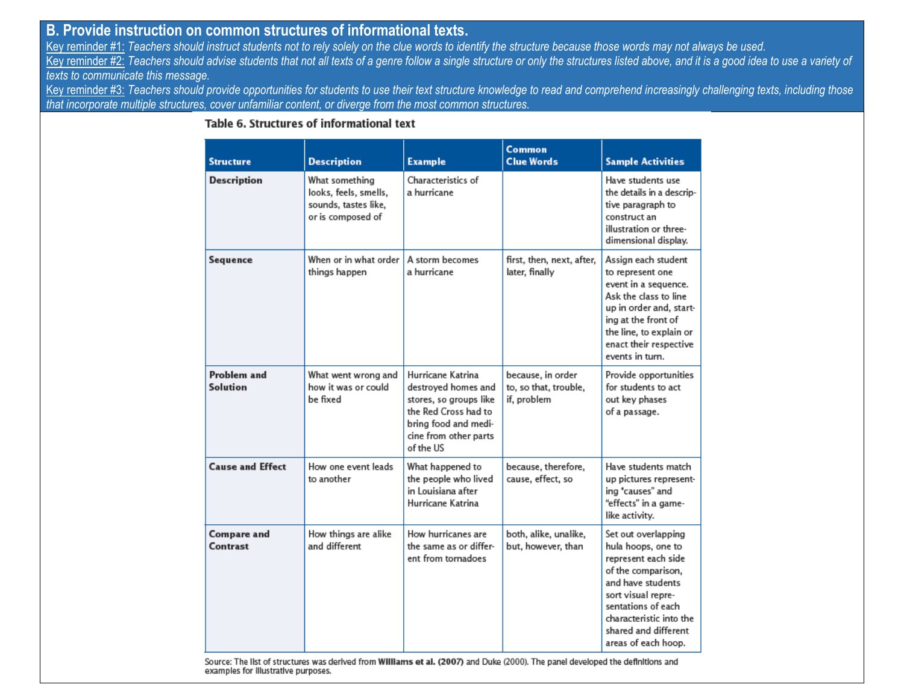### **B. Provide instruction on common structures of informational texts.**

Key reminder #1: *Teachers should instruct students not to rely solely on the clue words to identify the structure because those words may not always be used.* Key reminder #2: *Teachers should advise students that not all texts of a genre follow a single structure or only the structures listed above, and it is a good idea to use a variety of texts to communicate this message.*

Key reminder #3: *Teachers should provide opportunities for students to use their text structure knowledge to read and comprehend increasingly challenging texts, including those that incorporate multiple structures, cover unfamiliar content, or diverge from the most common structures.*

| <b>Structure</b>        | <b>Description</b>                                                                   | <b>Example</b>                                                                                                                                           | Common<br><b>Clue Words</b>                               | <b>Sample Activities</b>                                                                                                                                                                                                          |
|-------------------------|--------------------------------------------------------------------------------------|----------------------------------------------------------------------------------------------------------------------------------------------------------|-----------------------------------------------------------|-----------------------------------------------------------------------------------------------------------------------------------------------------------------------------------------------------------------------------------|
| <b>Description</b>      | What something<br>looks, feels, smells,<br>sounds, tastes like,<br>or is composed of | Characteristics of<br>a hurricane                                                                                                                        |                                                           | Have students use<br>the details in a descrip-<br>tive paragraph to<br>construct an<br>illustration or three-<br>dimensional display.                                                                                             |
| Sequence                | When or in what order<br>things happen                                               | A storm becomes<br>a hurricane                                                                                                                           | first, then, next, after,<br>later, finally               | Assign each student<br>to represent one<br>event in a sequence.<br>Ask the class to line<br>up in order and, start-<br>ing at the front of<br>the line, to explain or<br>enact their respective<br>events in turn.                |
| Problem and<br>Solution | What went wrong and<br>how it was or could<br>be fixed                               | Hurricane Katrina<br>destroyed homes and<br>stores, so groups like<br>the Red Cross had to<br>bring food and medi-<br>cine from other parts<br>of the US | because, in order<br>to, so that, trouble,<br>if, problem | Provide opportunities<br>for students to act<br>out key phases<br>of a passage.                                                                                                                                                   |
| <b>Cause and Effect</b> | How one event leads<br>to another                                                    | What happened to<br>the people who lived<br>in Louisiana after<br>Hurricane Katrina                                                                      | because, therefore,<br>cause, effect, so                  | Have students match<br>up pictures represent-<br>ing "causes" and<br>"effects" in a game-<br>like activity.                                                                                                                       |
| Compare and<br>Contrast | How things are alike<br>and different                                                | How hurricanes are<br>the same as or differ-<br>ent from tornadoes                                                                                       | both, alike, unalike,<br>but, however, than               | Set out overlapping<br>hula hoops, one to<br>represent each side<br>of the comparison,<br>and have students<br>sort visual repre-<br>sentations of each<br>characteristic into the<br>shared and different<br>areas of each hoop. |

### Table 6. Structures of informational text

Source: The list of structures was derived from Williams et al. (2007) and Duke (2000). The panel developed the definitions and examples for Illustrative purposes.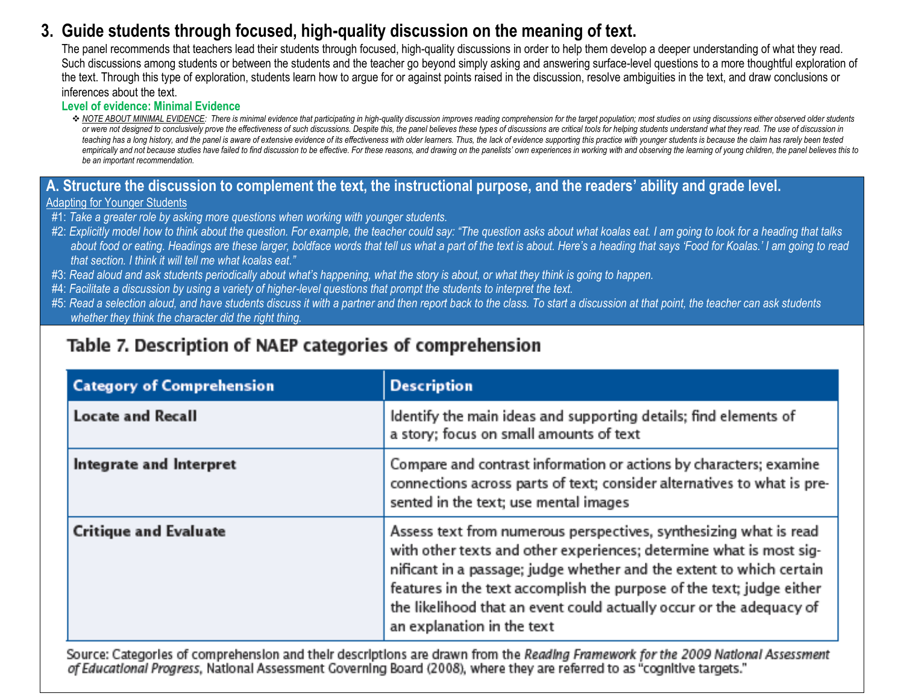# **3. Guide students through focused, high-quality discussion on the meaning of text.**

The panel recommends that teachers lead their students through focused, high-quality discussions in order to help them develop a deeper understanding of what they read. Such discussions among students or between the students and the teacher go beyond simply asking and answering surface-level questions to a more thoughtful exploration of the text. Through this type of exploration, students learn how to argue for or against points raised in the discussion, resolve ambiguities in the text, and draw conclusions or inferences about the text.

#### **Level of evidence: Minimal Evidence**

NOTE ABOUT MINIMAL EVIDENCE: There is minimal evidence that participating in high-quality discussion improves reading comprehension for the target population; most studies on using discussions either observed older student or were not designed to conclusively prove the effectiveness of such discussions. Despite this, the panel believes these types of discussions are critical tools for helping students understand what they read. The use of di teaching has a long history, and the panel is aware of extensive evidence of its effectiveness with older learners. Thus, the lack of evidence supporting this practice with younger students is because the claim has rarely empirically and not because studies have failed to find discussion to be effective. For these reasons, and drawing on the panelists' own experiences in working with and observing the learning of young children, the panel b *be an important recommendation.*

### **A. Structure the discussion to complement the text, the instructional purpose, and the readers' ability and grade level.**

#### Adapting for Younger Students

- #1: *Take a greater role by asking more questions when working with younger students.*
- #2: *Explicitly model how to think about the question. For example, the teacher could say: "The question asks about what koalas eat. I am going to look for a heading that talks about food or eating. Headings are these larger, boldface words that tell us what a part of the text is about. Here's a heading that says 'Food for Koalas.' I am going to read that section. I think it will tell me what koalas eat."*
- #3: *Read aloud and ask students periodically about what's happening, what the story is about, or what they think is going to happen.*
- #4: *Facilitate a discussion by using a variety of higher-level questions that prompt the students to interpret the text.*
- #5: *Read a selection aloud, and have students discuss it with a partner and then report back to the class. To start a discussion at that point, the teacher can ask students whether they think the character did the right thing.*

# Table 7. Description of NAEP categories of comprehension

| <b>Category of Comprehension</b> | <b>Description</b>                                                                                                                                                                                                                                                                                                                                                                              |
|----------------------------------|-------------------------------------------------------------------------------------------------------------------------------------------------------------------------------------------------------------------------------------------------------------------------------------------------------------------------------------------------------------------------------------------------|
| <b>Locate and Recall</b>         | Identify the main ideas and supporting details; find elements of<br>a story; focus on small amounts of text                                                                                                                                                                                                                                                                                     |
| Integrate and Interpret          | Compare and contrast information or actions by characters; examine<br>connections across parts of text; consider alternatives to what is pre-<br>sented in the text; use mental images                                                                                                                                                                                                          |
| <b>Critique and Evaluate</b>     | Assess text from numerous perspectives, synthesizing what is read<br>with other texts and other experiences; determine what is most sig-<br>nificant in a passage; judge whether and the extent to which certain<br>features in the text accomplish the purpose of the text; judge either<br>the likelihood that an event could actually occur or the adequacy of<br>an explanation in the text |

Source: Categories of comprehension and their descriptions are drawn from the Reading Framework for the 2009 National Assessment of Educational Progress, National Assessment Governing Board (2008), where they are referred to as "cognitive targets."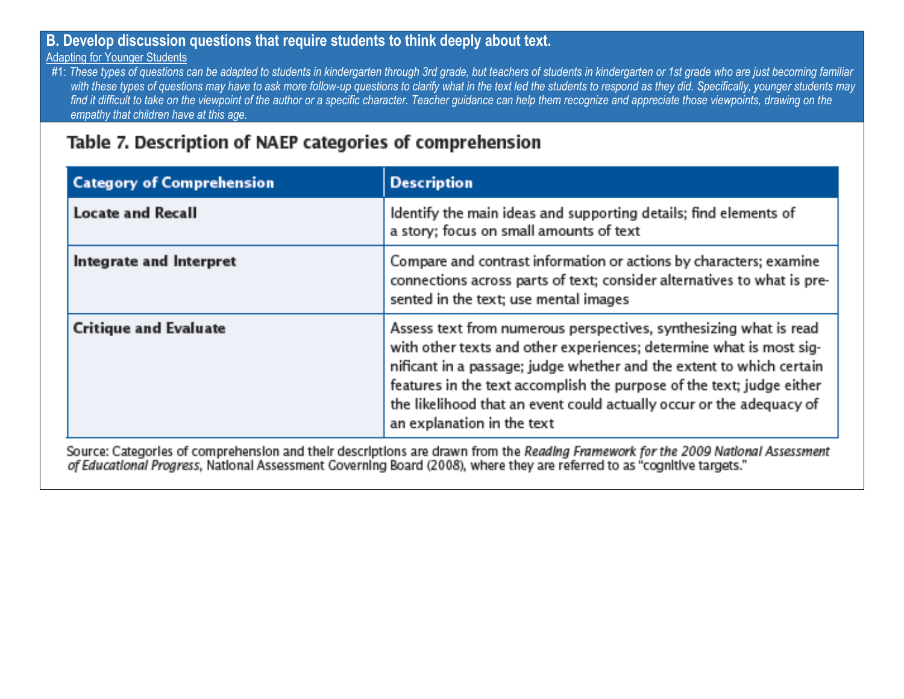# **B. Develop discussion questions that require students to think deeply about text.**

### Adapting for Younger Students

#1: These types of questions can be adapted to students in kindergarten through 3rd grade, but teachers of students in kindergarten or 1st grade who are just becoming familiar with these types of questions may have to ask more follow-up questions to clarify what in the text led the students to respond as they did. Specifically, younger students may *find it difficult to take on the viewpoint of the author or a specific character. Teacher guidance can help them recognize and appreciate those viewpoints, drawing on the empathy that children have at this age.*

# Table 7. Description of NAEP categories of comprehension

| <b>Category of Comprehension</b> | <b>Description</b>                                                                                                                                                                                                                                                                                                                                                                              |
|----------------------------------|-------------------------------------------------------------------------------------------------------------------------------------------------------------------------------------------------------------------------------------------------------------------------------------------------------------------------------------------------------------------------------------------------|
| <b>Locate and Recall</b>         | Identify the main ideas and supporting details; find elements of<br>a story; focus on small amounts of text                                                                                                                                                                                                                                                                                     |
| Integrate and Interpret          | Compare and contrast information or actions by characters; examine<br>connections across parts of text; consider alternatives to what is pre-<br>sented in the text; use mental images                                                                                                                                                                                                          |
| <b>Critique and Evaluate</b>     | Assess text from numerous perspectives, synthesizing what is read<br>with other texts and other experiences; determine what is most sig-<br>nificant in a passage; judge whether and the extent to which certain<br>features in the text accomplish the purpose of the text; judge either<br>the likelihood that an event could actually occur or the adequacy of<br>an explanation in the text |

Source: Categories of comprehension and their descriptions are drawn from the Reading Framework for the 2009 National Assessment of Educational Progress, National Assessment Governing Board (2008), where they are referred to as "cognitive targets."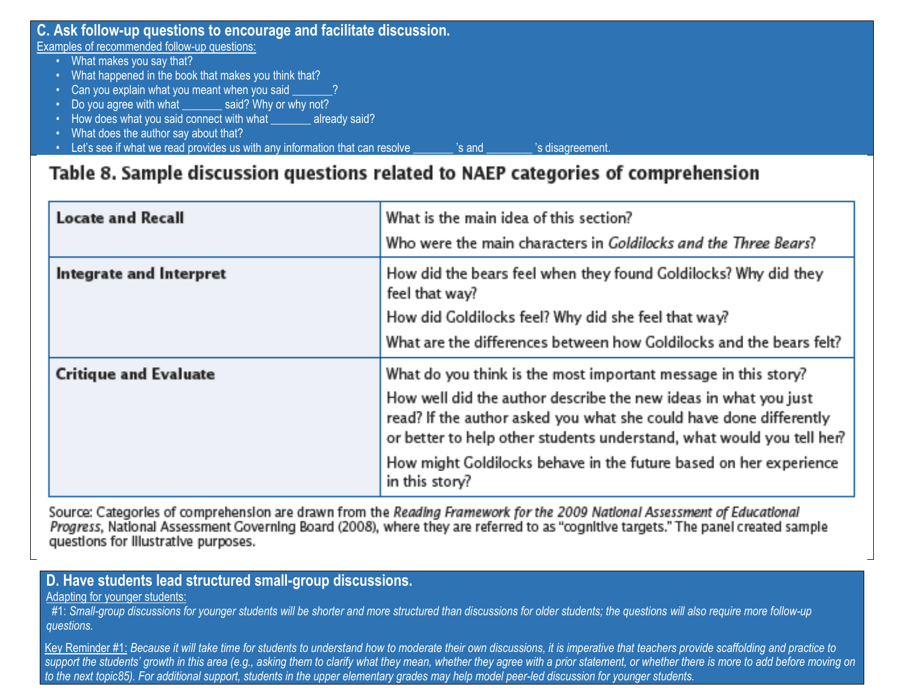| Examples of recommended follow-up questions:                                                              |  |
|-----------------------------------------------------------------------------------------------------------|--|
|                                                                                                           |  |
| What makes you say that?                                                                                  |  |
| • What happened in the book that makes you think that?                                                    |  |
| Can you explain what you meant when you said 2                                                            |  |
| • Do you agree with what _______ said? Why or why not?                                                    |  |
| • How does what you said connect with what _______ already said?                                          |  |
| • What does the author say about that?                                                                    |  |
| Let's see if what we read provides us with any information that can resolve<br>'s disagreement.<br>'s and |  |

# Table 8. Sample discussion questions related to NAEP categories of comprehension

| <b>Locate and Recall</b>     | What is the main idea of this section?<br>Who were the main characters in Goldilocks and the Three Bears?                                                                                                                                                                                                                                                               |
|------------------------------|-------------------------------------------------------------------------------------------------------------------------------------------------------------------------------------------------------------------------------------------------------------------------------------------------------------------------------------------------------------------------|
| Integrate and Interpret      | How did the bears feel when they found Goldilocks? Why did they<br>feel that way?<br>How did Goldilocks feel? Why did she feel that way?<br>What are the differences between how Goldilocks and the bears felt?                                                                                                                                                         |
| <b>Critique and Evaluate</b> | What do you think is the most important message in this story?<br>How well did the author describe the new ideas in what you just<br>read? If the author asked you what she could have done differently<br>or better to help other students understand, what would you tell her?<br>How might Goldilocks behave in the future based on her experience<br>in this story? |

Source: Categorles of comprehension are drawn from the Reading Framework for the 2009 National Assessment of Educational Progress, National Assessment Coverning Board (2008), where they are referred to as "cognitive targets." The panel created sample questions for illustrative purposes.

## **D. Have students lead structured small-group discussions.**

Adapting for younger students:

 #1: *Small-group discussions for younger students will be shorter and more structured than discussions for older students; the questions will also require more follow-up questions.*

Key Reminder #1: *Because it will take time for students to understand how to moderate their own discussions, it is imperative that teachers provide scaffolding and practice to*  support the students' growth in this area (e.g., asking them to clarify what they mean, whether they agree with a prior statement, or whether there is more to add before moving on *to the next topic85). For additional support, students in the upper elementary grades may help model peer-led discussion for younger students.*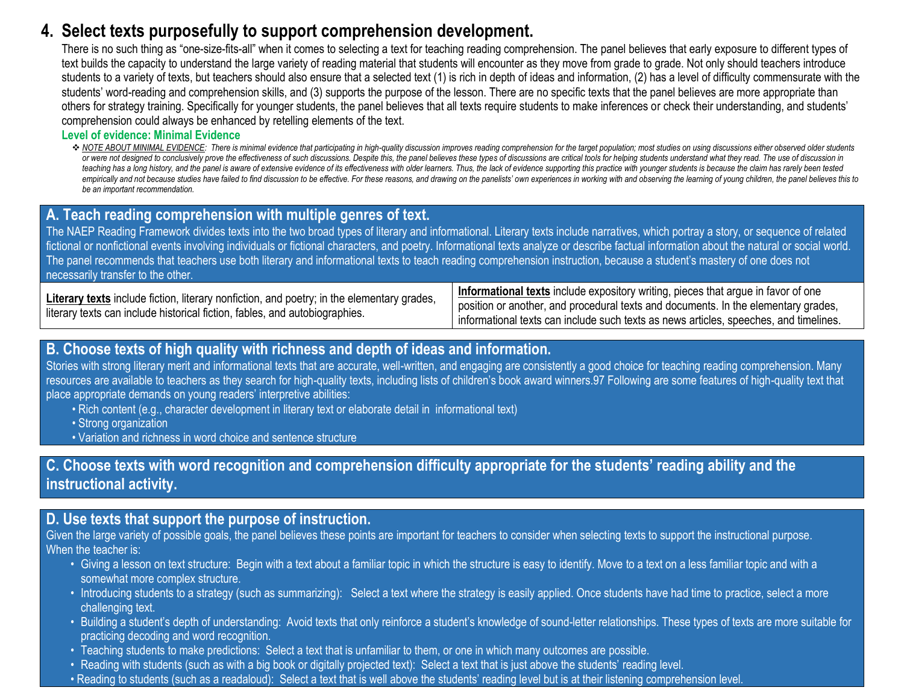# **4. Select texts purposefully to support comprehension development.**

There is no such thing as "one-size-fits-all" when it comes to selecting a text for teaching reading comprehension. The panel believes that early exposure to different types of text builds the capacity to understand the large variety of reading material that students will encounter as they move from grade to grade. Not only should teachers introduce students to a variety of texts, but teachers should also ensure that a selected text (1) is rich in depth of ideas and information, (2) has a level of difficulty commensurate with the students' word-reading and comprehension skills, and (3) supports the purpose of the lesson. There are no specific texts that the panel believes are more appropriate than others for strategy training. Specifically for younger students, the panel believes that all texts require students to make inferences or check their understanding, and students' comprehension could always be enhanced by retelling elements of the text.

### **Level of evidence: Minimal Evidence**

\* NOTE ABOUT MINIMAL EVIDENCE: There is minimal evidence that participating in high-quality discussion improves reading comprehension for the target population; most studies on using discussions either observed older stude or were not designed to conclusively prove the effectiveness of such discussions. Despite this, the panel believes these types of discussions are critical tools for helping students understand what they read. The use of di teaching has a long history, and the panel is aware of extensive evidence of its effectiveness with older learners. Thus, the lack of evidence supporting this practice with younger students is because the claim has rarely empirically and not because studies have failed to find discussion to be effective. For these reasons, and drawing on the panelists' own experiences in working with and observing the learning of young children, the panel b *be an important recommendation.*

### **A. Teach reading comprehension with multiple genres of text.**

The NAEP Reading Framework divides texts into the two broad types of literary and informational. Literary texts include narratives, which portray a story, or sequence of related fictional or nonfictional events involving individuals or fictional characters, and poetry. Informational texts analyze or describe factual information about the natural or social world. The panel recommends that teachers use both literary and informational texts to teach reading comprehension instruction, because a student's mastery of one does not necessarily transfer to the other.

Literary texts include fiction, literary nonfiction, and poetry; in the elementary grades, literary texts can include historical fiction, fables, and autobiographies.

**Informational texts** include expository writing, pieces that argue in favor of one position or another, and procedural texts and documents. In the elementary grades, informational texts can include such texts as news articles, speeches, and timelines.

### **B. Choose texts of high quality with richness and depth of ideas and information.**

Stories with strong literary merit and informational texts that are accurate, well-written, and engaging are consistently a good choice for teaching reading comprehension. Many resources are available to teachers as they search for high-quality texts, including lists of children's book award winners.97 Following are some features of high-quality text that place appropriate demands on young readers' interpretive abilities:

- Rich content (e.g., character development in literary text or elaborate detail in informational text)
- Strong organization
- Variation and richness in word choice and sentence structure

## **C. Choose texts with word recognition and comprehension difficulty appropriate for the students' reading ability and the instructional activity.**

### **D. Use texts that support the purpose of instruction.**

Given the large variety of possible goals, the panel believes these points are important for teachers to consider when selecting texts to support the instructional purpose. When the teacher is:

- Giving a lesson on text structure: Begin with a text about a familiar topic in which the structure is easy to identify. Move to a text on a less familiar topic and with a somewhat more complex structure.
- Introducing students to a strategy (such as summarizing): Select a text where the strategy is easily applied. Once students have had time to practice, select a more challenging text.
- Building a student's depth of understanding: Avoid texts that only reinforce a student's knowledge of sound-letter relationships. These types of texts are more suitable for practicing decoding and word recognition.
- Teaching students to make predictions: Select a text that is unfamiliar to them, or one in which many outcomes are possible.
- Reading with students (such as with a big book or digitally projected text): Select a text that is just above the students' reading level.
- Reading to students (such as a readaloud): Select a text that is well above the students' reading level but is at their listening comprehension level.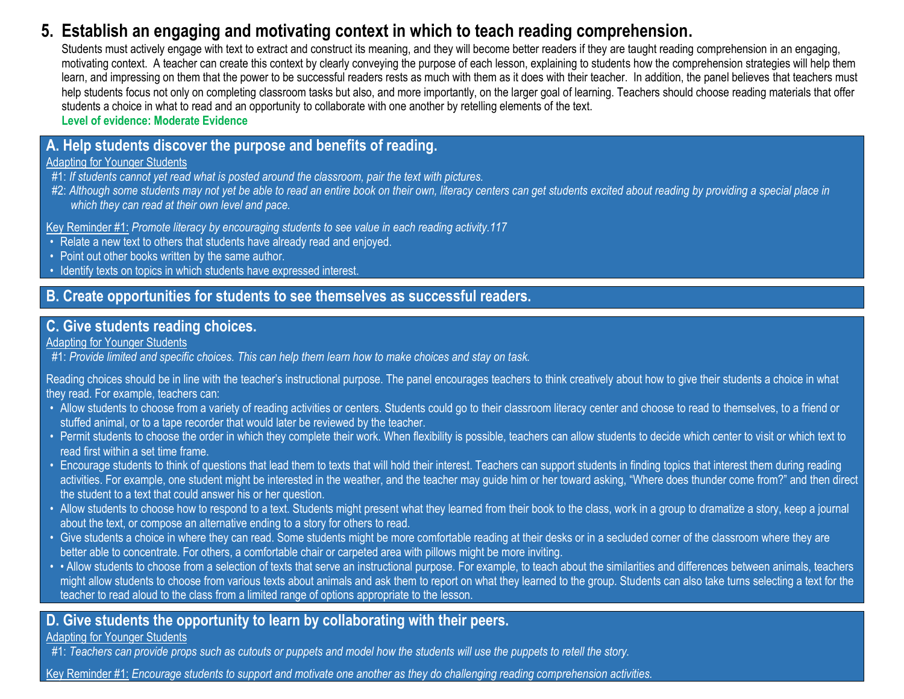# **5. Establish an engaging and motivating context in which to teach reading comprehension.**

Students must actively engage with text to extract and construct its meaning, and they will become better readers if they are taught reading comprehension in an engaging, motivating context. A teacher can create this context by clearly conveying the purpose of each lesson, explaining to students how the comprehension strategies will help them learn, and impressing on them that the power to be successful readers rests as much with them as it does with their teacher. In addition, the panel believes that teachers must help students focus not only on completing classroom tasks but also, and more importantly, on the larger goal of learning. Teachers should choose reading materials that offer students a choice in what to read and an opportunity to collaborate with one another by retelling elements of the text.

**Level of evidence: Moderate Evidence**

## **A. Help students discover the purpose and benefits of reading.**

### Adapting for Younger Students

- #1: *If students cannot yet read what is posted around the classroom, pair the text with pictures.*
- #2: *Although some students may not yet be able to read an entire book on their own, literacy centers can get students excited about reading by providing a special place in which they can read at their own level and pace.*

Key Reminder #1: *Promote literacy by encouraging students to see value in each reading activity.117*

- Relate a new text to others that students have already read and enjoyed.
- Point out other books written by the same author.
- Identify texts on topics in which students have expressed interest.

### **B. Create opportunities for students to see themselves as successful readers.**

### **C. Give students reading choices.**

### Adapting for Younger Students

#1: *Provide limited and specific choices. This can help them learn how to make choices and stay on task.*

Reading choices should be in line with the teacher's instructional purpose. The panel encourages teachers to think creatively about how to give their students a choice in what they read. For example, teachers can:

- Allow students to choose from a variety of reading activities or centers. Students could go to their classroom literacy center and choose to read to themselves, to a friend or stuffed animal, or to a tape recorder that would later be reviewed by the teacher.
- Permit students to choose the order in which they complete their work. When flexibility is possible, teachers can allow students to decide which center to visit or which text to read first within a set time frame.
- Encourage students to think of questions that lead them to texts that will hold their interest. Teachers can support students in finding topics that interest them during reading activities. For example, one student might be interested in the weather, and the teacher may guide him or her toward asking, "Where does thunder come from?" and then direct the student to a text that could answer his or her question.
- Allow students to choose how to respond to a text. Students might present what they learned from their book to the class, work in a group to dramatize a story, keep a journal about the text, or compose an alternative ending to a story for others to read.
- Give students a choice in where they can read. Some students might be more comfortable reading at their desks or in a secluded corner of the classroom where they are better able to concentrate. For others, a comfortable chair or carpeted area with pillows might be more inviting.
- • Allow students to choose from a selection of texts that serve an instructional purpose. For example, to teach about the similarities and differences between animals, teachers might allow students to choose from various texts about animals and ask them to report on what they learned to the group. Students can also take turns selecting a text for the teacher to read aloud to the class from a limited range of options appropriate to the lesson.

## **D. Give students the opportunity to learn by collaborating with their peers.**

### Adapting for Younger Students

#1: *Teachers can provide props such as cutouts or puppets and model how the students will use the puppets to retell the story.*

Key Reminder #1: *Encourage students to support and motivate one another as they do challenging reading comprehension activities.*